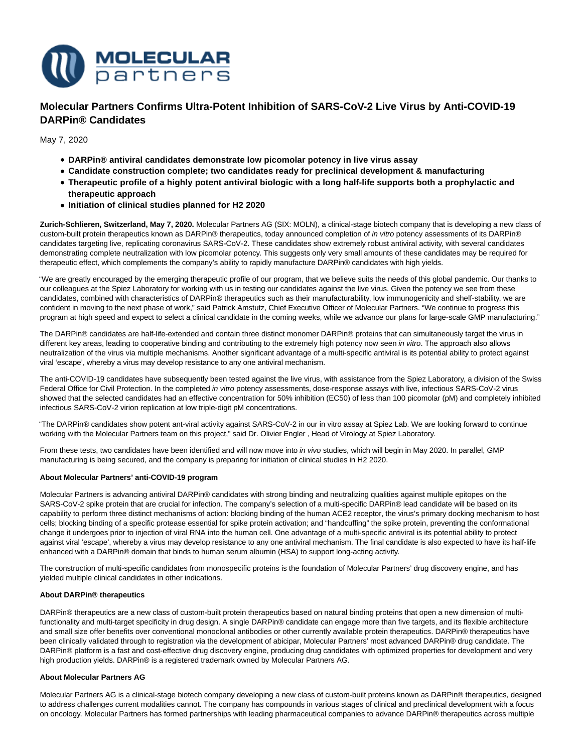

**Molecular Partners Confirms Ultra-Potent Inhibition of SARS-CoV-2 Live Virus by Anti-COVID-19 DARPin® Candidates**

May 7, 2020

- **DARPin® antiviral candidates demonstrate low picomolar potency in live virus assay**
- **Candidate construction complete; two candidates ready for preclinical development & manufacturing**
- **Therapeutic profile of a highly potent antiviral biologic with a long half-life supports both a prophylactic and therapeutic approach**
- **Initiation of clinical studies planned for H2 2020**

**Zurich-Schlieren, Switzerland, May 7, 2020.** Molecular Partners AG (SIX: MOLN), a clinical-stage biotech company that is developing a new class of custom-built protein therapeutics known as DARPin® therapeutics, today announced completion of in vitro potency assessments of its DARPin® candidates targeting live, replicating coronavirus SARS-CoV-2. These candidates show extremely robust antiviral activity, with several candidates demonstrating complete neutralization with low picomolar potency. This suggests only very small amounts of these candidates may be required for therapeutic effect, which complements the company's ability to rapidly manufacture DARPin® candidates with high yields.

"We are greatly encouraged by the emerging therapeutic profile of our program, that we believe suits the needs of this global pandemic. Our thanks to our colleagues at the Spiez Laboratory for working with us in testing our candidates against the live virus. Given the potency we see from these candidates, combined with characteristics of DARPin® therapeutics such as their manufacturability, low immunogenicity and shelf-stability, we are confident in moving to the next phase of work," said Patrick Amstutz, Chief Executive Officer of Molecular Partners. "We continue to progress this program at high speed and expect to select a clinical candidate in the coming weeks, while we advance our plans for large-scale GMP manufacturing."

The DARPin® candidates are half-life-extended and contain three distinct monomer DARPin® proteins that can simultaneously target the virus in different key areas, leading to cooperative binding and contributing to the extremely high potency now seen in vitro. The approach also allows neutralization of the virus via multiple mechanisms. Another significant advantage of a multi-specific antiviral is its potential ability to protect against viral 'escape', whereby a virus may develop resistance to any one antiviral mechanism.

The anti-COVID-19 candidates have subsequently been tested against the live virus, with assistance from the Spiez Laboratory, a division of the Swiss Federal Office for Civil Protection. In the completed in vitro potency assessments, dose-response assays with live, infectious SARS-CoV-2 virus showed that the selected candidates had an effective concentration for 50% inhibition (EC50) of less than 100 picomolar (pM) and completely inhibited infectious SARS-CoV-2 virion replication at low triple-digit pM concentrations.

"The DARPin® candidates show potent ant-viral activity against SARS-CoV-2 in our in vitro assay at Spiez Lab. We are looking forward to continue working with the Molecular Partners team on this project," said Dr. Olivier Engler , Head of Virology at Spiez Laboratory.

From these tests, two candidates have been identified and will now move into in vivo studies, which will begin in May 2020. In parallel, GMP manufacturing is being secured, and the company is preparing for initiation of clinical studies in H2 2020.

#### **About Molecular Partners' anti-COVID-19 program**

Molecular Partners is advancing antiviral DARPin® candidates with strong binding and neutralizing qualities against multiple epitopes on the SARS-CoV-2 spike protein that are crucial for infection. The company's selection of a multi-specific DARPin® lead candidate will be based on its capability to perform three distinct mechanisms of action: blocking binding of the human ACE2 receptor, the virus's primary docking mechanism to host cells; blocking binding of a specific protease essential for spike protein activation; and "handcuffing" the spike protein, preventing the conformational change it undergoes prior to injection of viral RNA into the human cell. One advantage of a multi-specific antiviral is its potential ability to protect against viral 'escape', whereby a virus may develop resistance to any one antiviral mechanism. The final candidate is also expected to have its half-life enhanced with a DARPin® domain that binds to human serum albumin (HSA) to support long-acting activity.

The construction of multi-specific candidates from monospecific proteins is the foundation of Molecular Partners' drug discovery engine, and has yielded multiple clinical candidates in other indications.

### **About DARPin® therapeutics**

DARPin® therapeutics are a new class of custom-built protein therapeutics based on natural binding proteins that open a new dimension of multifunctionality and multi-target specificity in drug design. A single DARPin® candidate can engage more than five targets, and its flexible architecture and small size offer benefits over conventional monoclonal antibodies or other currently available protein therapeutics. DARPin® therapeutics have been clinically validated through to registration via the development of abicipar, Molecular Partners' most advanced DARPin® drug candidate. The DARPin® platform is a fast and cost-effective drug discovery engine, producing drug candidates with optimized properties for development and very high production yields. DARPin® is a registered trademark owned by Molecular Partners AG.

#### **About Molecular Partners AG**

Molecular Partners AG is a clinical-stage biotech company developing a new class of custom-built proteins known as DARPin® therapeutics, designed to address challenges current modalities cannot. The company has compounds in various stages of clinical and preclinical development with a focus on oncology. Molecular Partners has formed partnerships with leading pharmaceutical companies to advance DARPin® therapeutics across multiple